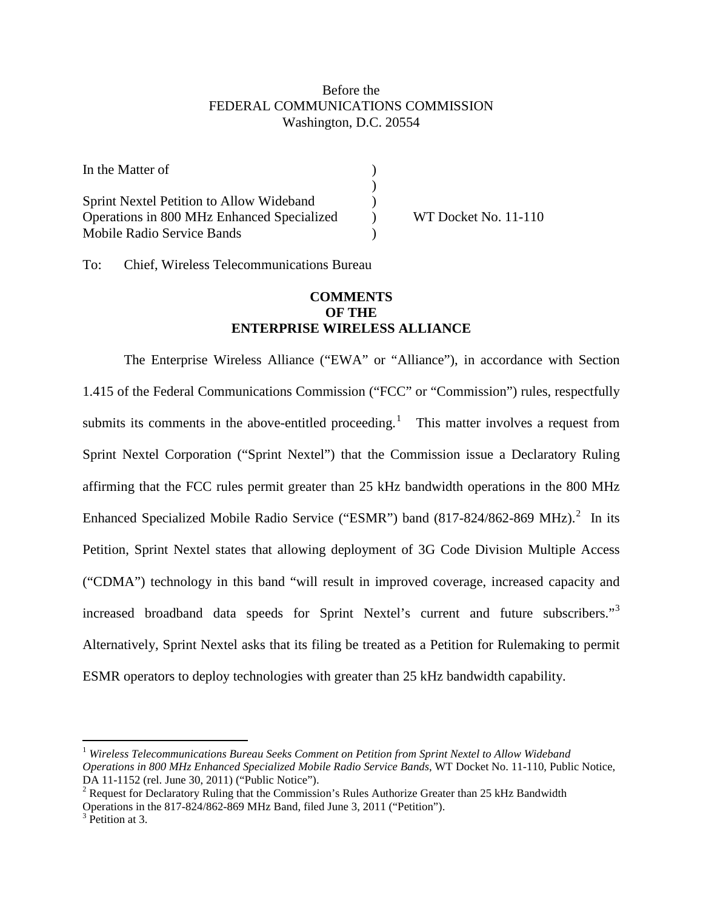# Before the FEDERAL COMMUNICATIONS COMMISSION Washington, D.C. 20554

| In the Matter of                                |                      |
|-------------------------------------------------|----------------------|
|                                                 |                      |
| <b>Sprint Nextel Petition to Allow Wideband</b> |                      |
| Operations in 800 MHz Enhanced Specialized      | WT Docket No. 11-110 |
| Mobile Radio Service Bands                      |                      |

To: Chief, Wireless Telecommunications Bureau

# **COMMENTS OF THE ENTERPRISE WIRELESS ALLIANCE**

The Enterprise Wireless Alliance ("EWA" or "Alliance"), in accordance with Section 1.415 of the Federal Communications Commission ("FCC" or "Commission") rules, respectfully submits its comments in the above-entitled proceeding.<sup>[1](#page-0-0)</sup> This matter involves a request from Sprint Nextel Corporation ("Sprint Nextel") that the Commission issue a Declaratory Ruling affirming that the FCC rules permit greater than 25 kHz bandwidth operations in the 800 MHz Enhanced Specialized Mobile Radio Service ("ESMR") band  $(817-824/862-869 \text{ MHz})$  $(817-824/862-869 \text{ MHz})$  $(817-824/862-869 \text{ MHz})$ .<sup>2</sup> In its Petition, Sprint Nextel states that allowing deployment of 3G Code Division Multiple Access ("CDMA") technology in this band "will result in improved coverage, increased capacity and increased broadband data speeds for Sprint Nextel's current and future subscribers."<sup>[3](#page-0-2)</sup> Alternatively, Sprint Nextel asks that its filing be treated as a Petition for Rulemaking to permit ESMR operators to deploy technologies with greater than 25 kHz bandwidth capability.

<span id="page-0-0"></span> <sup>1</sup> *Wireless Telecommunications Bureau Seeks Comment on Petition from Sprint Nextel to Allow Wideband Operations in 800 MHz Enhanced Specialized Mobile Radio Service Bands*, WT Docket No. 11-110, Public Notice, DA 11-1152 (rel. June 30, 2011) ("Public Notice").

<span id="page-0-1"></span> $2$  Request for Declaratory Ruling that the Commission's Rules Authorize Greater than 25 kHz Bandwidth Operations in the 817-824/862-869 MHz Band, filed June 3, 2011 ("Petition").<br><sup>3</sup> Petition at 3.

<span id="page-0-2"></span>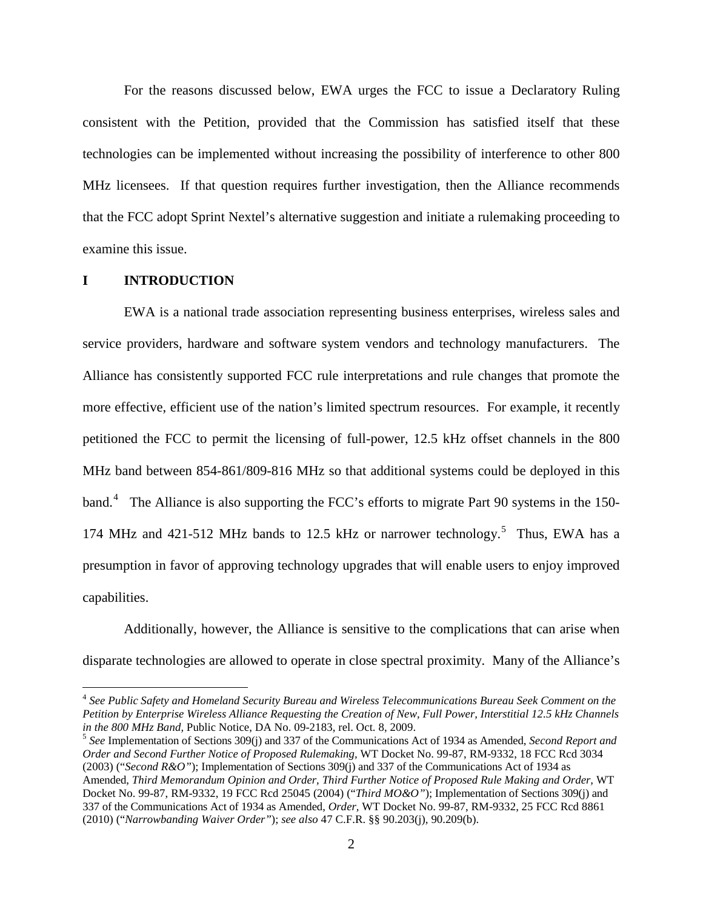For the reasons discussed below, EWA urges the FCC to issue a Declaratory Ruling consistent with the Petition, provided that the Commission has satisfied itself that these technologies can be implemented without increasing the possibility of interference to other 800 MHz licensees. If that question requires further investigation, then the Alliance recommends that the FCC adopt Sprint Nextel's alternative suggestion and initiate a rulemaking proceeding to examine this issue.

#### **I INTRODUCTION**

EWA is a national trade association representing business enterprises, wireless sales and service providers, hardware and software system vendors and technology manufacturers. The Alliance has consistently supported FCC rule interpretations and rule changes that promote the more effective, efficient use of the nation's limited spectrum resources. For example, it recently petitioned the FCC to permit the licensing of full-power, 12.5 kHz offset channels in the 800 MHz band between 854-861/809-816 MHz so that additional systems could be deployed in this band.<sup>[4](#page-1-0)</sup> The Alliance is also supporting the FCC's efforts to migrate Part 90 systems in the 150-174 MHz and 421-[5](#page-1-1)12 MHz bands to 12.5 kHz or narrower technology.<sup>5</sup> Thus, EWA has a presumption in favor of approving technology upgrades that will enable users to enjoy improved capabilities.

Additionally, however, the Alliance is sensitive to the complications that can arise when disparate technologies are allowed to operate in close spectral proximity. Many of the Alliance's

<span id="page-1-0"></span> <sup>4</sup> *See Public Safety and Homeland Security Bureau and Wireless Telecommunications Bureau Seek Comment on the Petition by Enterprise Wireless Alliance Requesting the Creation of New, Full Power, Interstitial 12.5 kHz Channels* 

<span id="page-1-1"></span><sup>&</sup>lt;sup>5</sup> See Implementation of Sections 309(j) and 337 of the Communications Act of 1934 as Amended, *Second Report and Order and Second Further Notice of Proposed Rulemaking,* WT Docket No. 99-87, RM-9332, 18 FCC Rcd 3034 (2003) ("*Second R&O"*); Implementation of Sections 309(j) and 337 of the Communications Act of 1934 as Amended, *Third Memorandum Opinion and Order, Third Further Notice of Proposed Rule Making and Order,* WT Docket No. 99-87, RM-9332, 19 FCC Rcd 25045 (2004) ("*Third MO&O"*); Implementation of Sections 309(j) and 337 of the Communications Act of 1934 as Amended, *Order,* WT Docket No. 99-87, RM-9332, 25 FCC Rcd 8861 (2010) ("*Narrowbanding Waiver Order"*); *see also* 47 C.F.R. §§ 90.203(j), 90.209(b).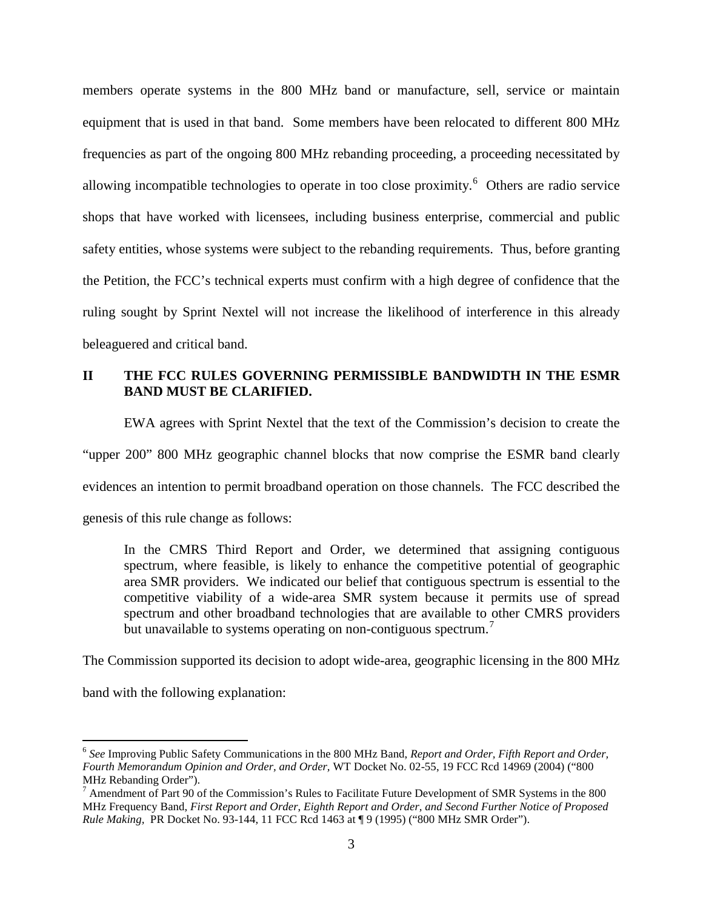members operate systems in the 800 MHz band or manufacture, sell, service or maintain equipment that is used in that band. Some members have been relocated to different 800 MHz frequencies as part of the ongoing 800 MHz rebanding proceeding, a proceeding necessitated by allowing incompatible technologies to operate in too close proximity.<sup>[6](#page-2-0)</sup> Others are radio service shops that have worked with licensees, including business enterprise, commercial and public safety entities, whose systems were subject to the rebanding requirements. Thus, before granting the Petition, the FCC's technical experts must confirm with a high degree of confidence that the ruling sought by Sprint Nextel will not increase the likelihood of interference in this already beleaguered and critical band.

# **II THE FCC RULES GOVERNING PERMISSIBLE BANDWIDTH IN THE ESMR BAND MUST BE CLARIFIED.**

EWA agrees with Sprint Nextel that the text of the Commission's decision to create the

"upper 200" 800 MHz geographic channel blocks that now comprise the ESMR band clearly

evidences an intention to permit broadband operation on those channels. The FCC described the

genesis of this rule change as follows:

In the CMRS Third Report and Order, we determined that assigning contiguous spectrum, where feasible, is likely to enhance the competitive potential of geographic area SMR providers. We indicated our belief that contiguous spectrum is essential to the competitive viability of a wide-area SMR system because it permits use of spread spectrum and other broadband technologies that are available to other CMRS providers but unavailable to systems operating on non-contiguous spectrum.<sup>[7](#page-2-1)</sup>

The Commission supported its decision to adopt wide-area, geographic licensing in the 800 MHz

band with the following explanation:

<span id="page-2-0"></span> <sup>6</sup> *See* Improving Public Safety Communications in the 800 MHz Band, *Report and Order, Fifth Report and Order, Fourth Memorandum Opinion and Order, and Order,* WT Docket No. 02-55, 19 FCC Rcd 14969 (2004) ("800 MHz Rebanding Order").

<span id="page-2-1"></span> $7$  Amendment of Part 90 of the Commission's Rules to Facilitate Future Development of SMR Systems in the 800 MHz Frequency Band, *First Report and Order*, *Eighth Report and Order, and Second Further Notice of Proposed Rule Making,* PR Docket No. 93-144, 11 FCC Rcd 1463 at ¶ 9 (1995) ("800 MHz SMR Order").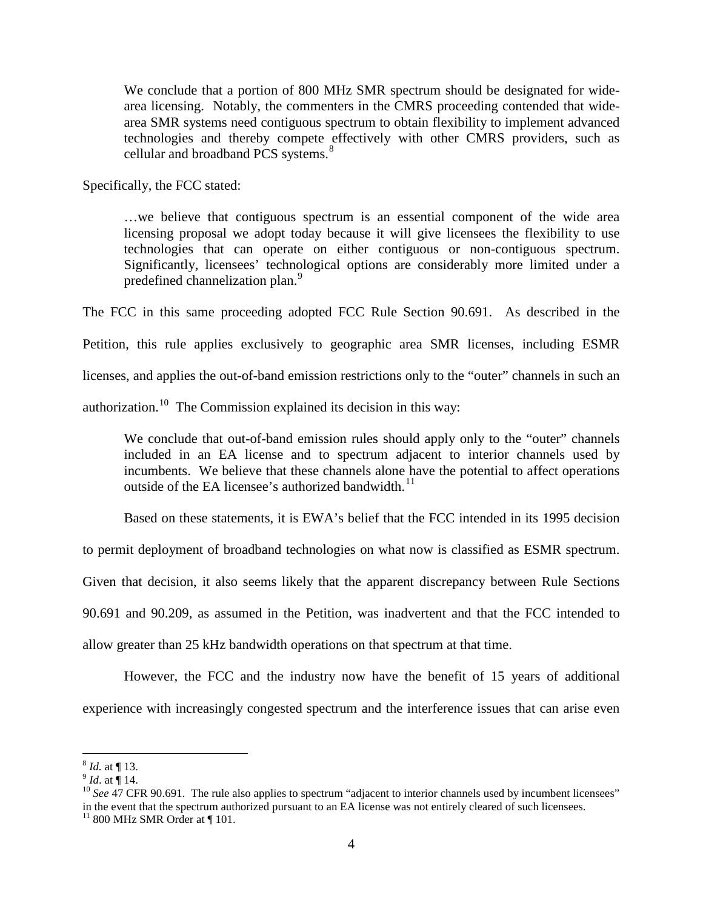We conclude that a portion of 800 MHz SMR spectrum should be designated for widearea licensing. Notably, the commenters in the CMRS proceeding contended that widearea SMR systems need contiguous spectrum to obtain flexibility to implement advanced technologies and thereby compete effectively with other CMRS providers, such as cellular and broadband PCS systems.<sup>[8](#page-3-0)</sup>

Specifically, the FCC stated:

…we believe that contiguous spectrum is an essential component of the wide area licensing proposal we adopt today because it will give licensees the flexibility to use technologies that can operate on either contiguous or non-contiguous spectrum. Significantly, licensees' technological options are considerably more limited under a predefined channelization plan.<sup>[9](#page-3-1)</sup>

The FCC in this same proceeding adopted FCC Rule Section 90.691. As described in the

Petition, this rule applies exclusively to geographic area SMR licenses, including ESMR

licenses, and applies the out-of-band emission restrictions only to the "outer" channels in such an

authorization.<sup>[10](#page-3-2)</sup> The Commission explained its decision in this way:

We conclude that out-of-band emission rules should apply only to the "outer" channels included in an EA license and to spectrum adjacent to interior channels used by incumbents. We believe that these channels alone have the potential to affect operations outside of the EA licensee's authorized bandwidth.<sup>[11](#page-3-3)</sup>

Based on these statements, it is EWA's belief that the FCC intended in its 1995 decision

to permit deployment of broadband technologies on what now is classified as ESMR spectrum.

Given that decision, it also seems likely that the apparent discrepancy between Rule Sections

90.691 and 90.209, as assumed in the Petition, was inadvertent and that the FCC intended to

allow greater than 25 kHz bandwidth operations on that spectrum at that time.

However, the FCC and the industry now have the benefit of 15 years of additional experience with increasingly congested spectrum and the interference issues that can arise even

<span id="page-3-2"></span><span id="page-3-1"></span>

<span id="page-3-0"></span><sup>&</sup>lt;sup>8</sup> *Id.* at ¶ 13.<br><sup>9</sup> *Id.* at ¶ 14.<br><sup>10</sup> *See* 47 CFR 90.691. The rule also applies to spectrum "adjacent to interior channels used by incumbent licensees" in the event that the spectrum authorized pursuant to an EA license was not entirely cleared of such licensees.

<span id="page-3-3"></span> $11$  800 MHz SMR Order at  $\P$  101.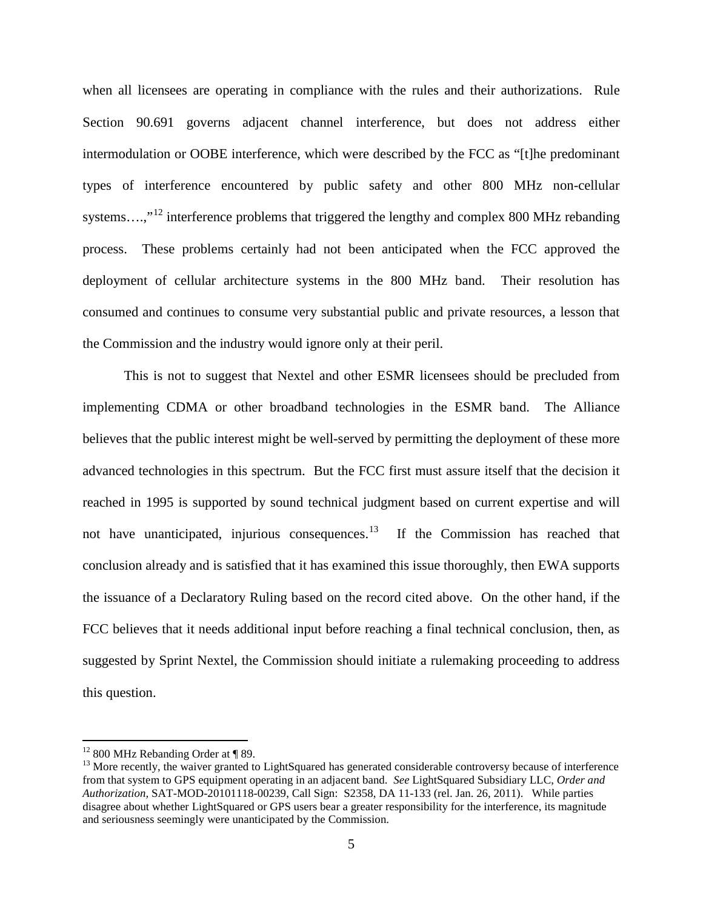when all licensees are operating in compliance with the rules and their authorizations. Rule Section 90.691 governs adjacent channel interference, but does not address either intermodulation or OOBE interference, which were described by the FCC as "[t]he predominant types of interference encountered by public safety and other 800 MHz non-cellular systems....,"<sup>[12](#page-4-0)</sup> interference problems that triggered the lengthy and complex 800 MHz rebanding process. These problems certainly had not been anticipated when the FCC approved the deployment of cellular architecture systems in the 800 MHz band. Their resolution has consumed and continues to consume very substantial public and private resources, a lesson that the Commission and the industry would ignore only at their peril.

This is not to suggest that Nextel and other ESMR licensees should be precluded from implementing CDMA or other broadband technologies in the ESMR band. The Alliance believes that the public interest might be well-served by permitting the deployment of these more advanced technologies in this spectrum. But the FCC first must assure itself that the decision it reached in 1995 is supported by sound technical judgment based on current expertise and will not have unanticipated, injurious consequences.<sup>[13](#page-4-1)</sup> If the Commission has reached that conclusion already and is satisfied that it has examined this issue thoroughly, then EWA supports the issuance of a Declaratory Ruling based on the record cited above. On the other hand, if the FCC believes that it needs additional input before reaching a final technical conclusion, then, as suggested by Sprint Nextel, the Commission should initiate a rulemaking proceeding to address this question.

<span id="page-4-0"></span> $12$  800 MHz Rebanding Order at ¶ 89.

<span id="page-4-1"></span> $<sup>13</sup>$  More recently, the waiver granted to LightSquared has generated considerable controversy because of interference</sup> from that system to GPS equipment operating in an adjacent band. *See* LightSquared Subsidiary LLC, *Order and Authorization,* SAT-MOD-20101118-00239, Call Sign: S2358, DA 11-133 (rel. Jan. 26, 2011). While parties disagree about whether LightSquared or GPS users bear a greater responsibility for the interference, its magnitude and seriousness seemingly were unanticipated by the Commission.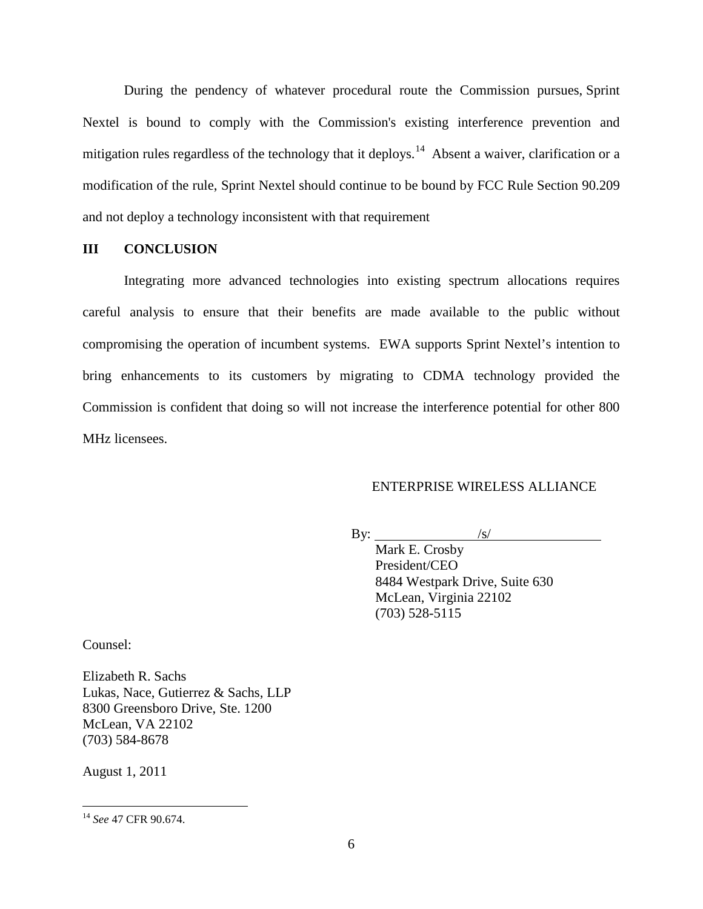During the pendency of whatever procedural route the Commission pursues, Sprint Nextel is bound to comply with the Commission's existing interference prevention and mitigation rules regardless of the technology that it deploys.<sup>[14](#page-5-0)</sup> Absent a waiver, clarification or a modification of the rule, Sprint Nextel should continue to be bound by FCC Rule Section 90.209 and not deploy a technology inconsistent with that requirement

### **III CONCLUSION**

Integrating more advanced technologies into existing spectrum allocations requires careful analysis to ensure that their benefits are made available to the public without compromising the operation of incumbent systems. EWA supports Sprint Nextel's intention to bring enhancements to its customers by migrating to CDMA technology provided the Commission is confident that doing so will not increase the interference potential for other 800 MHz licensees.

# ENTERPRISE WIRELESS ALLIANCE

 $By:$  $\sqrt{s/}$ 

Mark E. Crosby President/CEO 8484 Westpark Drive, Suite 630 McLean, Virginia 22102 (703) 528-5115

Counsel:

Elizabeth R. Sachs Lukas, Nace, Gutierrez & Sachs, LLP 8300 Greensboro Drive, Ste. 1200 McLean, VA 22102 (703) 584-8678

August 1, 2011

<span id="page-5-0"></span> <sup>14</sup> *See* 47 CFR 90.674.